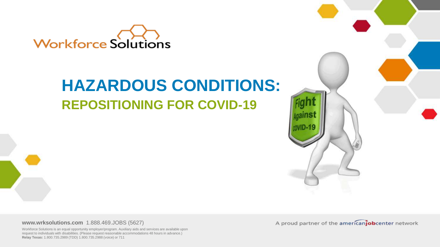

#### **HAZARDOUS CONDITIONS: REPOSITIONING FOR COVID-19**



**www.wrksolutions.com** 1.888.469.JOBS (5627)

Workforce Solutions is an equal opportunity employer/program. Auxiliary aids and services are available upon request to individuals with disabilities. (Please request reasonable accommodations 48 hours in advance.) **Relay Texas:** 1.800.735.2989 (TDD) 1.800.735.2988 (voice) or 711

A proud partner of the americanjobcenter network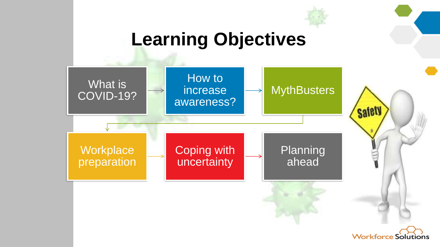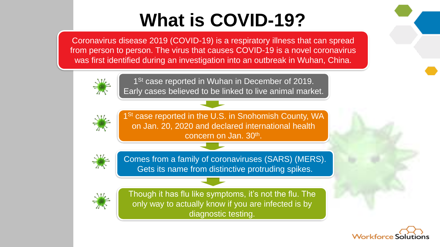### **What is COVID-19?**

Coronavirus disease 2019 (COVID-19) is a respiratory illness that can spread from person to person. The virus that causes COVID-19 is a novel coronavirus was first identified during an investigation into an outbreak in Wuhan, China.

1<sup>St</sup> case reported in Wuhan in December of 2019. Early cases believed to be linked to live animal market.

1<sup>St</sup> case reported in the U.S. in Snohomish County, WA on Jan. 20, 2020 and declared international health concern on Jan. 30<sup>th</sup>.



Comes from a family of coronaviruses (SARS) (MERS). Gets its name from distinctive protruding spikes.



Though it has flu like symptoms, it's not the flu. The only way to actually know if you are infected is by diagnostic testing.

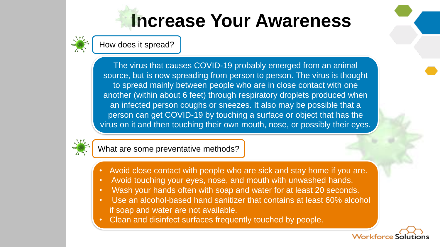## **Increase Your Awareness**



#### How does it spread?

The virus that causes COVID-19 probably emerged from an animal source, but is now spreading from person to person. The virus is thought to spread mainly between people who are in close contact with one another (within about 6 feet) through respiratory droplets produced when an infected person coughs or sneezes. It also may be possible that a person can get COVID-19 by touching a surface or object that has the virus on it and then touching their own mouth, nose, or possibly their eyes.



What are some preventative methods?

- Avoid close contact with people who are sick and stay home if you are.
- Avoid touching your eyes, nose, and mouth with unwashed hands.
- Wash your hands often with soap and water for at least 20 seconds.
- Use an alcohol-based hand sanitizer that contains at least 60% alcohol if soap and water are not available.
- Clean and disinfect surfaces frequently touched by people.

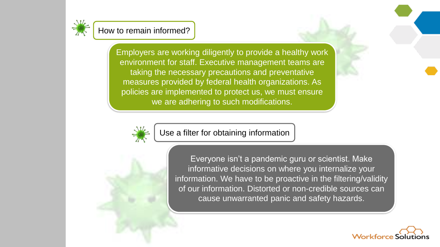

#### How to remain informed?

Employers are working diligently to provide a healthy work environment for staff. Executive management teams are taking the necessary precautions and preventative measures provided by federal health organizations. As policies are implemented to protect us, we must ensure we are adhering to such modifications.



Use a filter for obtaining information

Everyone isn't a pandemic guru or scientist. Make informative decisions on where you internalize your information. We have to be proactive in the filtering/validity of our information. Distorted or non-credible sources can cause unwarranted panic and safety hazards.

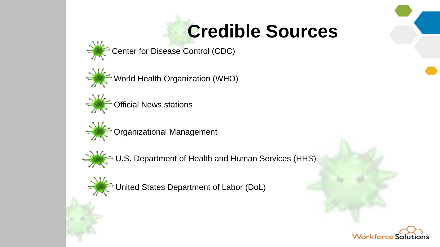## **Credible Sources**



Center for Disease Control (CDC)









U.S. Department of Health and Human Services (HHS)

United States Department of Labor (DoL)

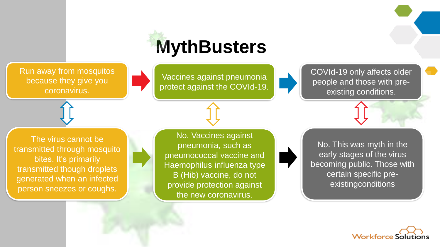

Run away from mosquitos because they give you coronavirus.

Vaccines against pneumonia protect against the COVId-19. COVId-19 only affects older people and those with preexisting conditions.

The virus cannot be transmitted through mosquito bites. It's primarily transmitted though droplets generated when an infected person sneezes or coughs.

No. Vaccines against pneumonia, such as pneumococcal vaccine and Haemophilus influenza type B (Hib) vaccine, do not provide protection against the new coronavirus.

No. This was myth in the early stages of the virus becoming public. Those with certain specific preexistingconditions

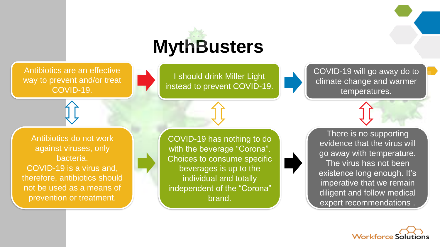# **MythBusters**

Antibiotics are an effective way to prevent and/or treat COVID-19.

I should drink Miller Light instead to prevent COVID-19. COVID-19 will go away do to climate change and warmer temperatures.

Antibiotics do not work against viruses, only bacteria. COVID-19 is a virus and, therefore, antibiotics should not be used as a means of prevention or treatment.

COVID-19 has nothing to do with the beverage "Corona". Choices to consume specific beverages is up to the individual and totally independent of the "Corona" brand.

There is no supporting evidence that the virus will go away with temperature. The virus has not been existence long enough. It's imperative that we remain diligent and follow medical expert recommendations .

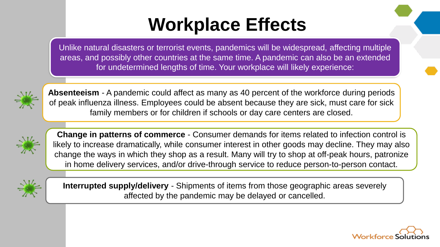### **Workplace Effects**

Unlike natural disasters or terrorist events, pandemics will be widespread, affecting multiple areas, and possibly other countries at the same time. A pandemic can also be an extended for undetermined lengths of time. Your workplace will likely experience:



**Absenteeism** - A pandemic could affect as many as 40 percent of the workforce during periods of peak influenza illness. Employees could be absent because they are sick, must care for sick family members or for children if schools or day care centers are closed.



**Change in patterns of commerce** - Consumer demands for items related to infection control is likely to increase dramatically, while consumer interest in other goods may decline. They may also change the ways in which they shop as a result. Many will try to shop at off-peak hours, patronize in home delivery services, and/or drive-through service to reduce person-to-person contact.



**Interrupted supply/delivery** - Shipments of items from those geographic areas severely affected by the pandemic may be delayed or cancelled.

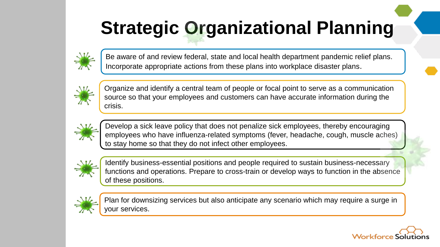## **Strategic Organizational Planning**



Be aware of and review federal, state and local health department pandemic relief plans. Incorporate appropriate actions from these plans into workplace disaster plans.



Organize and identify a central team of people or focal point to serve as a communication source so that your employees and customers can have accurate information during the crisis.



Develop a sick leave policy that does not penalize sick employees, thereby encouraging employees who have influenza-related symptoms (fever, headache, cough, muscle aches) to stay home so that they do not infect other employees.



Identify business-essential positions and people required to sustain business-necessary functions and operations. Prepare to cross-train or develop ways to function in the absence of these positions.



Plan for downsizing services but also anticipate any scenario which may require a surge in your services.

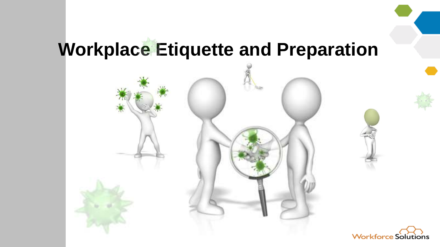### **Workplace Etiquette and Preparation**



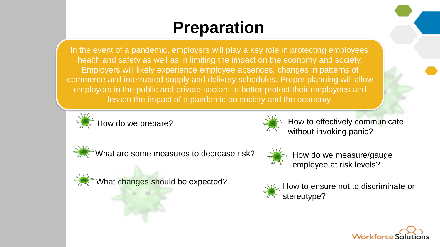#### **Preparation**

In the event of a pandemic, employers will play a key role in protecting employees' health and safety as well as in limiting the impact on the economy and society. Employers will likely experience employee absences, changes in patterns of commerce and interrupted supply and delivery schedules. Proper planning will allow employers in the public and private sectors to better protect their employees and lessen the impact of a pandemic on society and the economy.



How do we prepare?



How to effectively communicate without invoking panic?



What are some measures to decrease risk?



What changes should be expected?

How do we measure/gauge employee at risk levels?



How to ensure not to discriminate or stereotype?

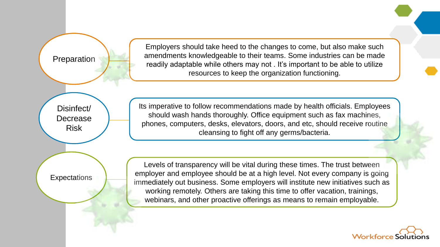**Preparation** Employers should take heed to the changes to come, but also make such amendments knowledgeable to their teams. Some industries can be made readily adaptable while others may not . It's important to be able to utilize resources to keep the organization functioning. Disinfect/ Decrease Risk Its imperative to follow recommendations made by health officials. Employees should wash hands thoroughly. Office equipment such as fax machines, phones, computers, desks, elevators, doors, and etc, should receive routine cleansing to fight off any germs/bacteria. **Expectations** Levels of transparency will be vital during these times. The trust between employer and employee should be at a high level. Not every company is going immediately out business. Some employers will institute new initiatives such as working remotely. Others are taking this time to offer vacation, trainings, webinars, and other proactive offerings as means to remain employable.

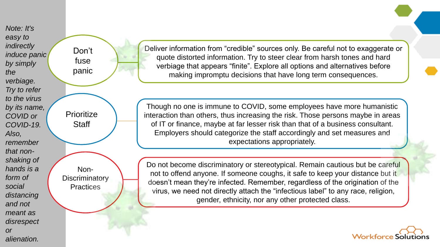*Note: It's easy to indirectly induce panic by simply the verbiage. Try to refer to the virus by its name, COVID or COVID-19. Also, remember that nonshaking of hands is a form of social distancing and not meant as disrespect or alienation.*



Deliver information from "credible" sources only. Be careful not to exaggerate or quote distorted information. Try to steer clear from harsh tones and hard verbiage that appears "finite". Explore all options and alternatives before making impromptu decisions that have long term consequences.

Though no one is immune to COVID, some employees have more humanistic interaction than others, thus increasing the risk. Those persons maybe in areas of IT or finance, maybe at far lesser risk than that of a business consultant. Employers should categorize the staff accordingly and set measures and expectations appropriately.

Do not become discriminatory or stereotypical. Remain cautious but be careful not to offend anyone. If someone coughs, it safe to keep your distance but it doesn't mean they're infected. Remember, regardless of the origination of the virus, we need not directly attach the "infectious label" to any race, religion, gender, ethnicity, nor any other protected class.

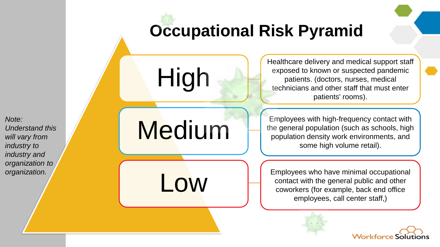#### **Occupational Risk Pyramid**

*Note: Understand this will vary from industry to industry and organization to organization.*

# Medium

High

**LOW** 

Healthcare delivery and medical support staff exposed to known or suspected pandemic patients. (doctors, nurses, medical technicians and other staff that must enter patients' rooms).

Employees with high-frequency contact with the general population (such as schools, high population density work environments, and some high volume retail).

Employees who have minimal occupational contact with the general public and other coworkers (for example, back end office employees, call center staff,)

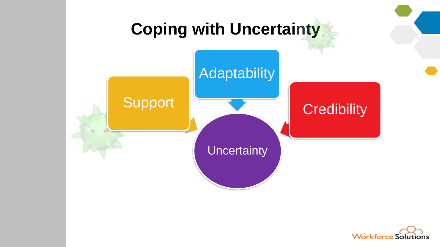

![](_page_15_Picture_1.jpeg)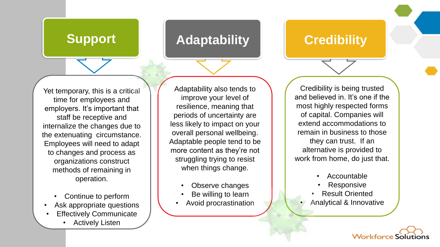#### **Support | Adaptability**

Yet temporary, this is a critical time for employees and employers. It's important that staff be receptive and internalize the changes due to the extenuating circumstance. Employees will need to adapt to changes and process as organizations construct methods of remaining in operation.

- Continue to perform
- Ask appropriate questions
- **Effectively Communicate** 
	- **Actively Listen**

Adaptability also tends to improve your level of resilience, meaning that periods of uncertainty are less likely to impact on your overall personal wellbeing. Adaptable people tend to be more content as they're not struggling trying to resist when things change.

- Observe changes
- Be willing to learn
- Avoid procrastination

#### **Credibility**

Credibility is being trusted and believed in. It's one if the most highly respected forms of capital. Companies will extend accommodations to remain in business to those they can trust. If an alternative is provided to work from home, do just that.

- Accountable
- **Responsive**
- Result Oriented
- Analytical & Innovative

**Workforce Solutions**